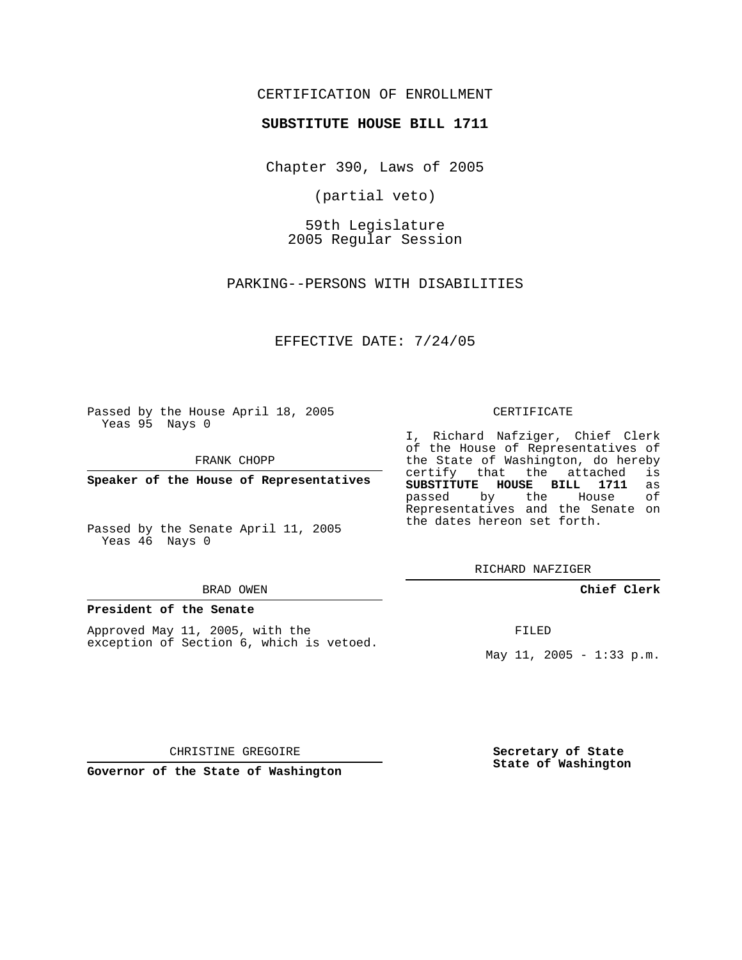## CERTIFICATION OF ENROLLMENT

## **SUBSTITUTE HOUSE BILL 1711**

Chapter 390, Laws of 2005

(partial veto)

59th Legislature 2005 Regular Session

PARKING--PERSONS WITH DISABILITIES

EFFECTIVE DATE: 7/24/05

Passed by the House April 18, 2005 Yeas 95 Nays 0

FRANK CHOPP

**Speaker of the House of Representatives**

Passed by the Senate April 11, 2005 Yeas 46 Nays 0

#### BRAD OWEN

#### **President of the Senate**

Approved May 11, 2005, with the exception of Section 6, which is vetoed.

### CERTIFICATE

I, Richard Nafziger, Chief Clerk of the House of Representatives of the State of Washington, do hereby<br>certify that the attached is certify that the attached **SUBSTITUTE HOUSE BILL 1711** as passed by the House of Representatives and the Senate on the dates hereon set forth.

RICHARD NAFZIGER

## **Chief Clerk**

FILED

May  $11$ ,  $2005 - 1:33$  p.m.

CHRISTINE GREGOIRE

**Governor of the State of Washington**

**Secretary of State State of Washington**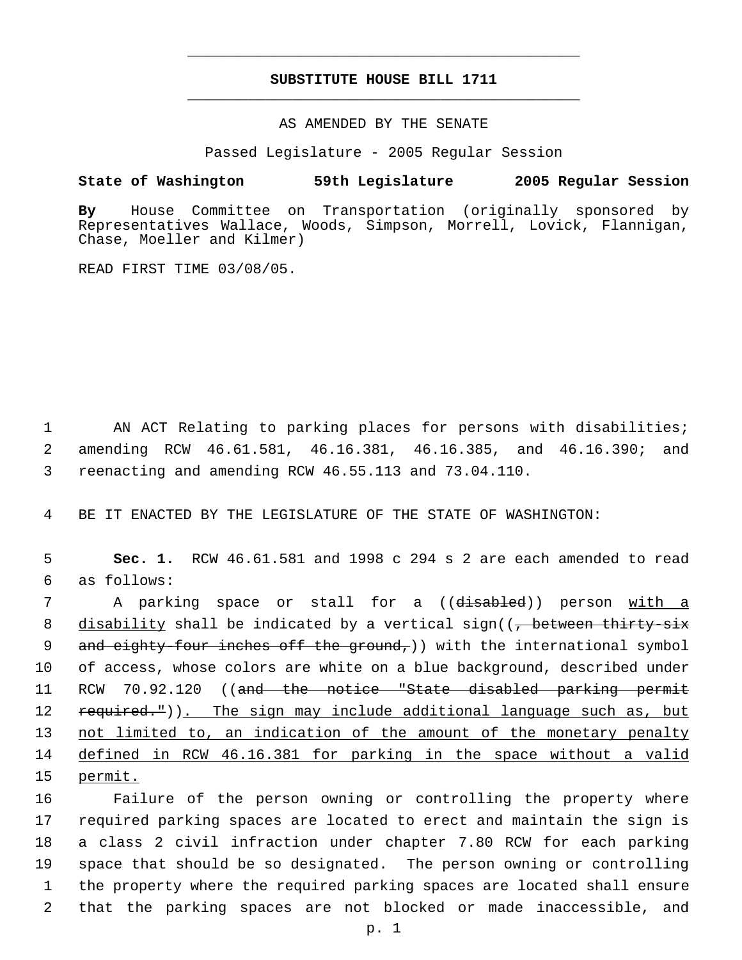# **SUBSTITUTE HOUSE BILL 1711** \_\_\_\_\_\_\_\_\_\_\_\_\_\_\_\_\_\_\_\_\_\_\_\_\_\_\_\_\_\_\_\_\_\_\_\_\_\_\_\_\_\_\_\_\_

\_\_\_\_\_\_\_\_\_\_\_\_\_\_\_\_\_\_\_\_\_\_\_\_\_\_\_\_\_\_\_\_\_\_\_\_\_\_\_\_\_\_\_\_\_

## AS AMENDED BY THE SENATE

Passed Legislature - 2005 Regular Session

## **State of Washington 59th Legislature 2005 Regular Session**

**By** House Committee on Transportation (originally sponsored by Representatives Wallace, Woods, Simpson, Morrell, Lovick, Flannigan, Chase, Moeller and Kilmer)

READ FIRST TIME 03/08/05.

 1 AN ACT Relating to parking places for persons with disabilities; 2 amending RCW 46.61.581, 46.16.381, 46.16.385, and 46.16.390; and 3 reenacting and amending RCW 46.55.113 and 73.04.110.

4 BE IT ENACTED BY THE LEGISLATURE OF THE STATE OF WASHINGTON:

 5 **Sec. 1.** RCW 46.61.581 and 1998 c 294 s 2 are each amended to read 6 as follows:

7 A parking space or stall for a ((<del>disabled</del>)) person <u>with a</u> 8 disability shall be indicated by a vertical sign((<del>, between thirty six</del> 9 and eighty-four inches off the ground,)) with the international symbol 10 of access, whose colors are white on a blue background, described under 11 RCW 70.92.120 ((and the notice "State disabled parking permit 12 required.")). The sign may include additional language such as, but 13 not limited to, an indication of the amount of the monetary penalty 14 defined in RCW 46.16.381 for parking in the space without a valid 15 permit.

 Failure of the person owning or controlling the property where required parking spaces are located to erect and maintain the sign is a class 2 civil infraction under chapter 7.80 RCW for each parking space that should be so designated. The person owning or controlling the property where the required parking spaces are located shall ensure that the parking spaces are not blocked or made inaccessible, and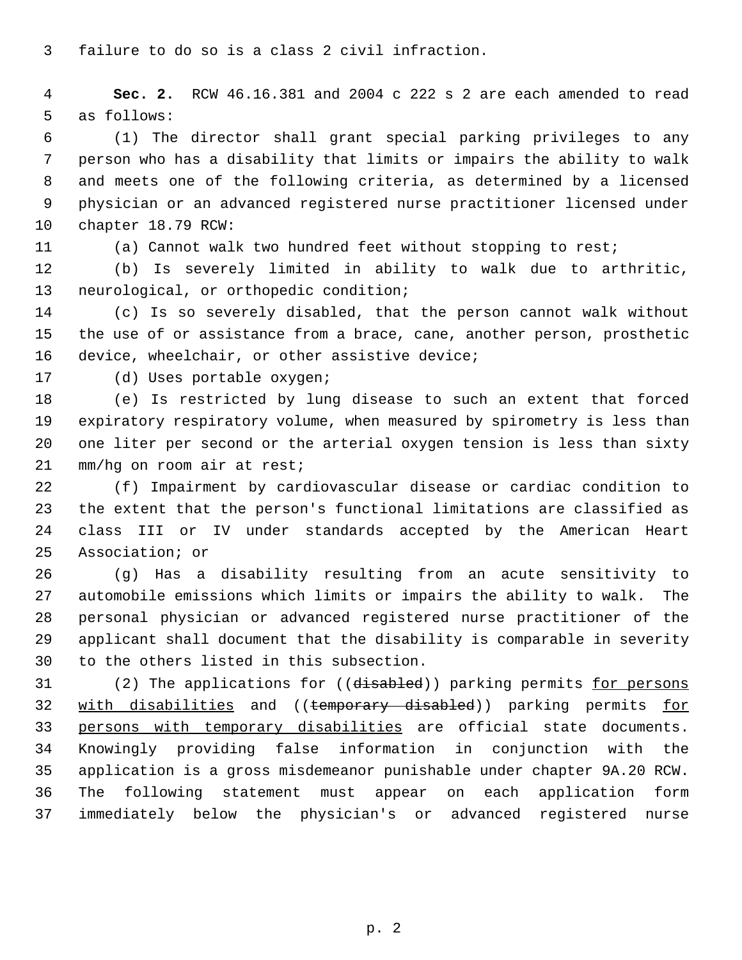failure to do so is a class 2 civil infraction.

 **Sec. 2.** RCW 46.16.381 and 2004 c 222 s 2 are each amended to read as follows:

 (1) The director shall grant special parking privileges to any person who has a disability that limits or impairs the ability to walk and meets one of the following criteria, as determined by a licensed physician or an advanced registered nurse practitioner licensed under chapter 18.79 RCW:

(a) Cannot walk two hundred feet without stopping to rest;

 (b) Is severely limited in ability to walk due to arthritic, neurological, or orthopedic condition;

 (c) Is so severely disabled, that the person cannot walk without the use of or assistance from a brace, cane, another person, prosthetic device, wheelchair, or other assistive device;

(d) Uses portable oxygen;

 (e) Is restricted by lung disease to such an extent that forced expiratory respiratory volume, when measured by spirometry is less than one liter per second or the arterial oxygen tension is less than sixty mm/hg on room air at rest;

 (f) Impairment by cardiovascular disease or cardiac condition to the extent that the person's functional limitations are classified as class III or IV under standards accepted by the American Heart Association; or

 (g) Has a disability resulting from an acute sensitivity to automobile emissions which limits or impairs the ability to walk. The personal physician or advanced registered nurse practitioner of the applicant shall document that the disability is comparable in severity to the others listed in this subsection.

31 (2) The applications for ((disabled)) parking permits for persons 32 with disabilities and ((temporary disabled)) parking permits for persons with temporary disabilities are official state documents. Knowingly providing false information in conjunction with the application is a gross misdemeanor punishable under chapter 9A.20 RCW. The following statement must appear on each application form immediately below the physician's or advanced registered nurse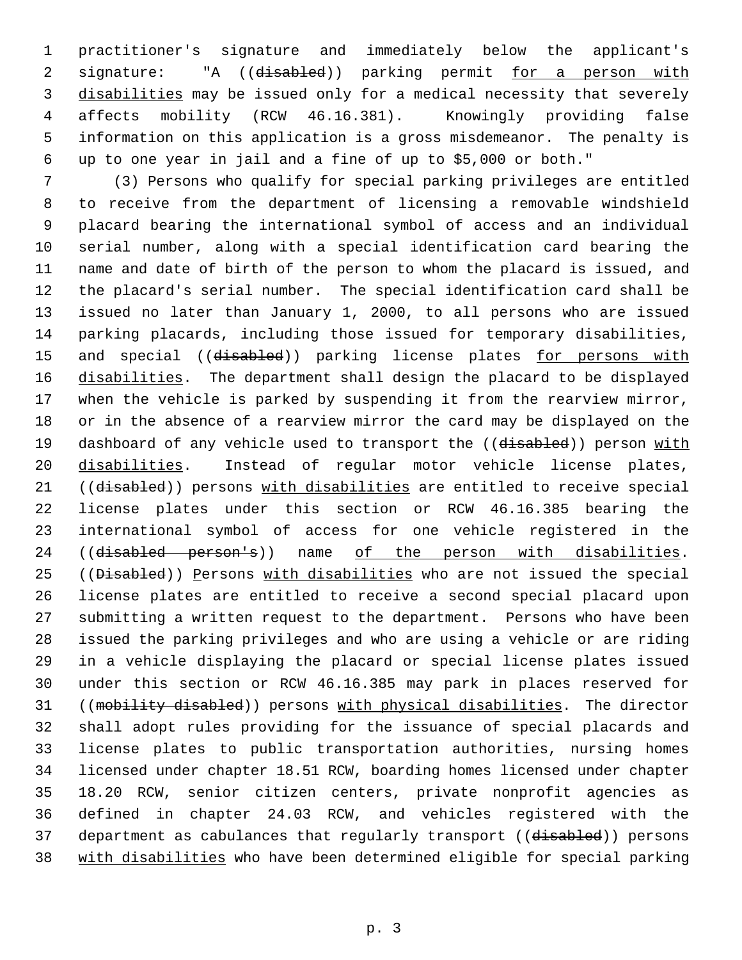practitioner's signature and immediately below the applicant's 2 signature: "A ((disabled)) parking permit for a person with 3 disabilities may be issued only for a medical necessity that severely affects mobility (RCW 46.16.381). Knowingly providing false information on this application is a gross misdemeanor. The penalty is up to one year in jail and a fine of up to \$5,000 or both."

 (3) Persons who qualify for special parking privileges are entitled to receive from the department of licensing a removable windshield placard bearing the international symbol of access and an individual serial number, along with a special identification card bearing the name and date of birth of the person to whom the placard is issued, and the placard's serial number. The special identification card shall be issued no later than January 1, 2000, to all persons who are issued parking placards, including those issued for temporary disabilities, 15 and special ((disabled)) parking license plates for persons with disabilities. The department shall design the placard to be displayed when the vehicle is parked by suspending it from the rearview mirror, or in the absence of a rearview mirror the card may be displayed on the 19 dashboard of any vehicle used to transport the ((disabled)) person with disabilities. Instead of regular motor vehicle license plates, 21 ((disabled)) persons with disabilities are entitled to receive special license plates under this section or RCW 46.16.385 bearing the international symbol of access for one vehicle registered in the 24 ((disabled person's)) name of the person with disabilities. 25 ((Disabled)) Persons with disabilities who are not issued the special license plates are entitled to receive a second special placard upon submitting a written request to the department. Persons who have been issued the parking privileges and who are using a vehicle or are riding in a vehicle displaying the placard or special license plates issued under this section or RCW 46.16.385 may park in places reserved for 31 ((mobility disabled)) persons with physical disabilities. The director shall adopt rules providing for the issuance of special placards and license plates to public transportation authorities, nursing homes licensed under chapter 18.51 RCW, boarding homes licensed under chapter 18.20 RCW, senior citizen centers, private nonprofit agencies as defined in chapter 24.03 RCW, and vehicles registered with the 37 department as cabulances that regularly transport ((disabled)) persons with disabilities who have been determined eligible for special parking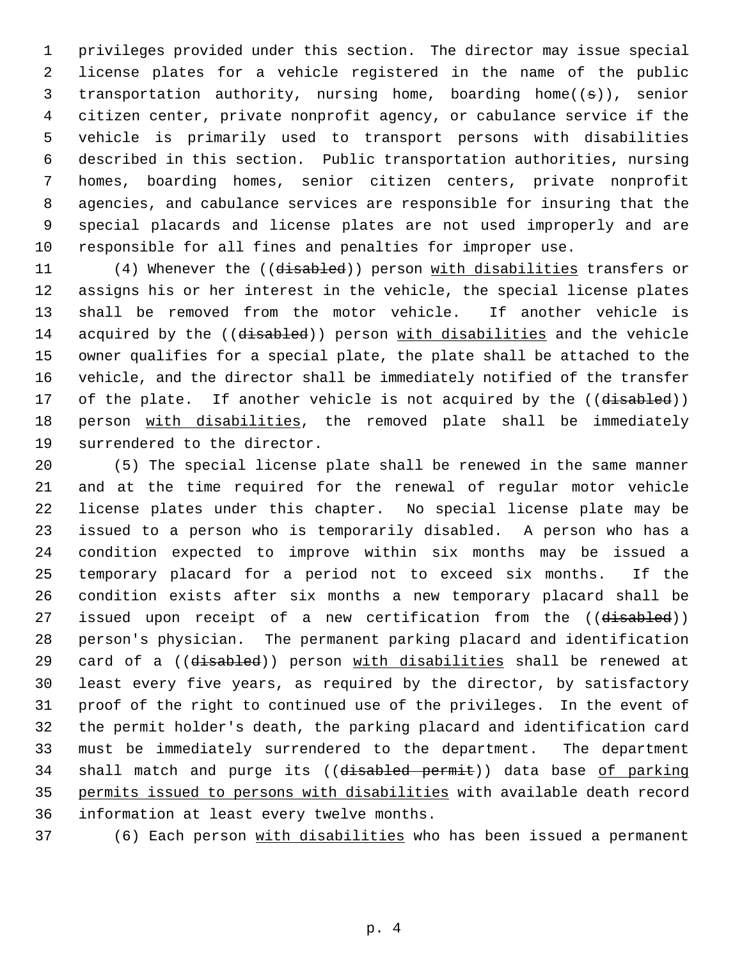privileges provided under this section. The director may issue special license plates for a vehicle registered in the name of the public transportation authority, nursing home, boarding home((s)), senior citizen center, private nonprofit agency, or cabulance service if the vehicle is primarily used to transport persons with disabilities described in this section. Public transportation authorities, nursing homes, boarding homes, senior citizen centers, private nonprofit agencies, and cabulance services are responsible for insuring that the special placards and license plates are not used improperly and are responsible for all fines and penalties for improper use.

11 (4) Whenever the ((disabled)) person with disabilities transfers or assigns his or her interest in the vehicle, the special license plates shall be removed from the motor vehicle. If another vehicle is 14 acquired by the ((disabled)) person with disabilities and the vehicle owner qualifies for a special plate, the plate shall be attached to the vehicle, and the director shall be immediately notified of the transfer 17 of the plate. If another vehicle is not acquired by the ((disabled)) 18 person with disabilities, the removed plate shall be immediately surrendered to the director.

 (5) The special license plate shall be renewed in the same manner and at the time required for the renewal of regular motor vehicle license plates under this chapter. No special license plate may be issued to a person who is temporarily disabled. A person who has a condition expected to improve within six months may be issued a temporary placard for a period not to exceed six months. If the condition exists after six months a new temporary placard shall be 27 issued upon receipt of a new certification from the ((disabled)) person's physician. The permanent parking placard and identification 29 card of a ((disabled)) person with disabilities shall be renewed at least every five years, as required by the director, by satisfactory proof of the right to continued use of the privileges. In the event of the permit holder's death, the parking placard and identification card must be immediately surrendered to the department. The department 34 shall match and purge its ((disabled permit)) data base of parking permits issued to persons with disabilities with available death record information at least every twelve months.

(6) Each person with disabilities who has been issued a permanent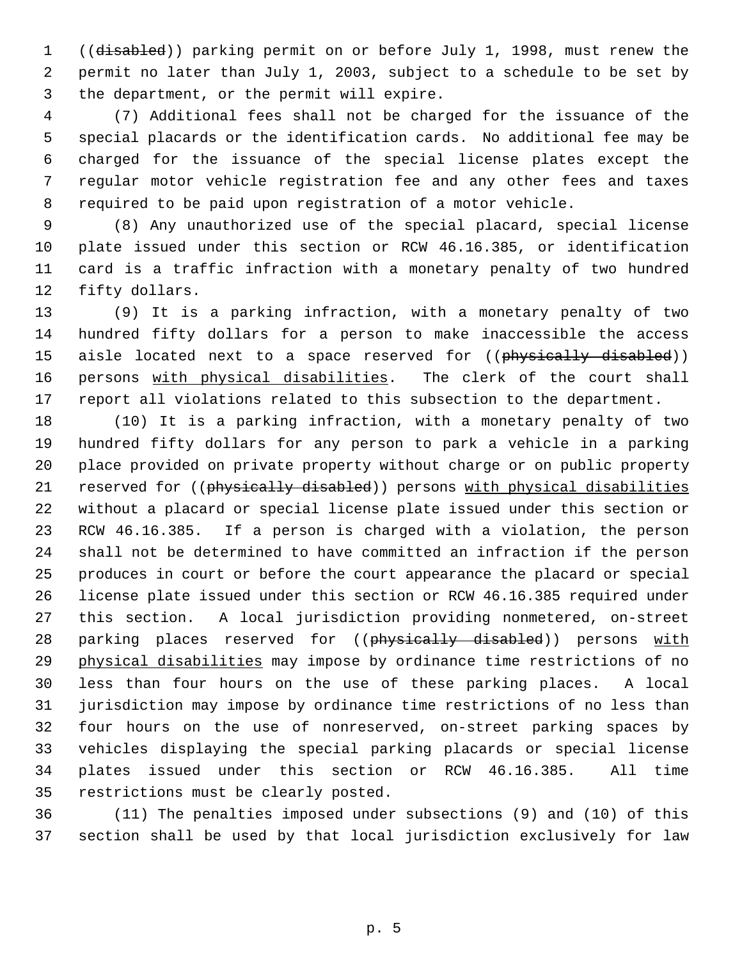1 ((disabled)) parking permit on or before July 1, 1998, must renew the permit no later than July 1, 2003, subject to a schedule to be set by the department, or the permit will expire.

 (7) Additional fees shall not be charged for the issuance of the special placards or the identification cards. No additional fee may be charged for the issuance of the special license plates except the regular motor vehicle registration fee and any other fees and taxes required to be paid upon registration of a motor vehicle.

 (8) Any unauthorized use of the special placard, special license plate issued under this section or RCW 46.16.385, or identification card is a traffic infraction with a monetary penalty of two hundred fifty dollars.

 (9) It is a parking infraction, with a monetary penalty of two hundred fifty dollars for a person to make inaccessible the access 15 aisle located next to a space reserved for ((physically disabled)) 16 persons with physical disabilities. The clerk of the court shall report all violations related to this subsection to the department.

 (10) It is a parking infraction, with a monetary penalty of two hundred fifty dollars for any person to park a vehicle in a parking place provided on private property without charge or on public property 21 reserved for ((physically disabled)) persons with physical disabilities without a placard or special license plate issued under this section or RCW 46.16.385. If a person is charged with a violation, the person shall not be determined to have committed an infraction if the person produces in court or before the court appearance the placard or special license plate issued under this section or RCW 46.16.385 required under this section. A local jurisdiction providing nonmetered, on-street 28 parking places reserved for ((physically disabled)) persons with physical disabilities may impose by ordinance time restrictions of no less than four hours on the use of these parking places. A local jurisdiction may impose by ordinance time restrictions of no less than four hours on the use of nonreserved, on-street parking spaces by vehicles displaying the special parking placards or special license plates issued under this section or RCW 46.16.385. All time restrictions must be clearly posted.

 (11) The penalties imposed under subsections (9) and (10) of this section shall be used by that local jurisdiction exclusively for law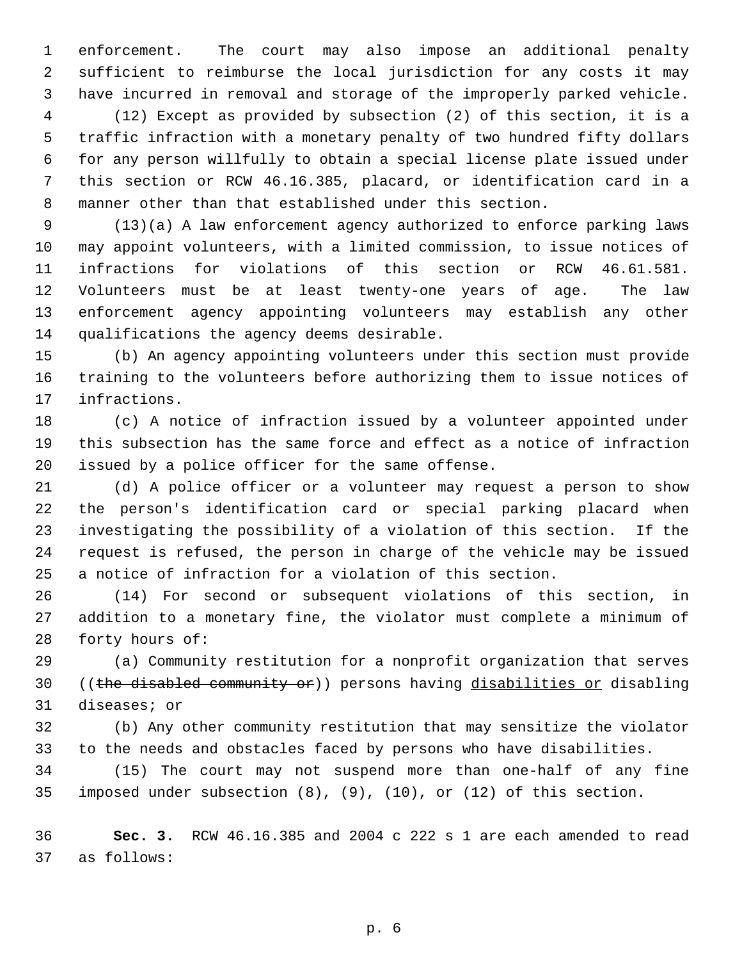enforcement. The court may also impose an additional penalty sufficient to reimburse the local jurisdiction for any costs it may have incurred in removal and storage of the improperly parked vehicle.

 (12) Except as provided by subsection (2) of this section, it is a traffic infraction with a monetary penalty of two hundred fifty dollars for any person willfully to obtain a special license plate issued under this section or RCW 46.16.385, placard, or identification card in a manner other than that established under this section.

 (13)(a) A law enforcement agency authorized to enforce parking laws may appoint volunteers, with a limited commission, to issue notices of infractions for violations of this section or RCW 46.61.581. Volunteers must be at least twenty-one years of age. The law enforcement agency appointing volunteers may establish any other qualifications the agency deems desirable.

 (b) An agency appointing volunteers under this section must provide training to the volunteers before authorizing them to issue notices of infractions.

 (c) A notice of infraction issued by a volunteer appointed under this subsection has the same force and effect as a notice of infraction issued by a police officer for the same offense.

 (d) A police officer or a volunteer may request a person to show the person's identification card or special parking placard when investigating the possibility of a violation of this section. If the request is refused, the person in charge of the vehicle may be issued a notice of infraction for a violation of this section.

 (14) For second or subsequent violations of this section, in addition to a monetary fine, the violator must complete a minimum of forty hours of:

 (a) Community restitution for a nonprofit organization that serves 30 ((the disabled community or)) persons having disabilities or disabling diseases; or

 (b) Any other community restitution that may sensitize the violator to the needs and obstacles faced by persons who have disabilities.

 (15) The court may not suspend more than one-half of any fine imposed under subsection (8), (9), (10), or (12) of this section.

 **Sec. 3.** RCW 46.16.385 and 2004 c 222 s 1 are each amended to read as follows: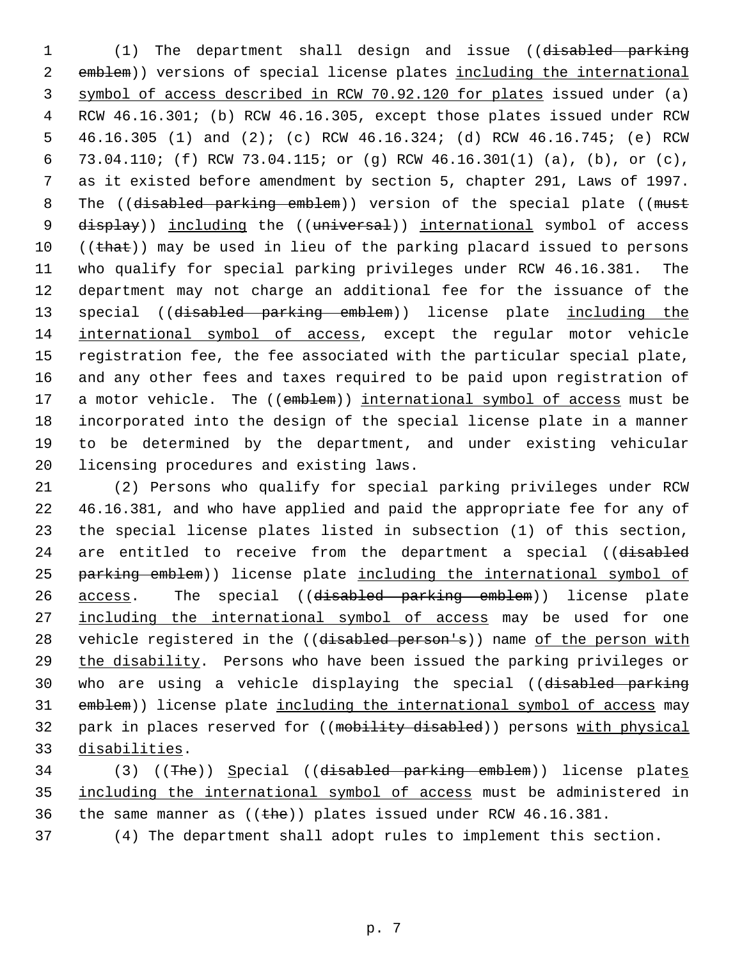(1) The department shall design and issue ((disabled parking 2 emblem)) versions of special license plates including the international symbol of access described in RCW 70.92.120 for plates issued under (a) RCW 46.16.301; (b) RCW 46.16.305, except those plates issued under RCW 46.16.305 (1) and (2); (c) RCW 46.16.324; (d) RCW 46.16.745; (e) RCW 73.04.110; (f) RCW 73.04.115; or (g) RCW 46.16.301(1) (a), (b), or (c), as it existed before amendment by section 5, chapter 291, Laws of 1997. 8 The ((disabled parking emblem)) version of the special plate ((must 9 display)) including the ((universal)) international symbol of access  $((that))$  may be used in lieu of the parking placard issued to persons who qualify for special parking privileges under RCW 46.16.381. The department may not charge an additional fee for the issuance of the 13 special ((disabled parking emblem)) license plate including the international symbol of access, except the regular motor vehicle registration fee, the fee associated with the particular special plate, and any other fees and taxes required to be paid upon registration of 17 a motor vehicle. The ((emblem)) international symbol of access must be incorporated into the design of the special license plate in a manner to be determined by the department, and under existing vehicular licensing procedures and existing laws.

21 (2) Persons who qualify for special parking privileges under RCW 22 46.16.381, and who have applied and paid the appropriate fee for any of 23 the special license plates listed in subsection (1) of this section, 24 are entitled to receive from the department a special ((disabled 25 parking emblem)) license plate including the international symbol of 26 access. The special ((disabled parking emblem)) license plate 27 including the international symbol of access may be used for one 28 vehicle registered in the ((disabled person's)) name of the person with 29 the disability. Persons who have been issued the parking privileges or 30 who are using a vehicle displaying the special ((disabled parking 31 emblem)) license plate including the international symbol of access may 32 park in places reserved for ((mobility disabled)) persons with physical 33 disabilities.

34 (3) ((The)) Special ((disabled parking emblem)) license plates 35 including the international symbol of access must be administered in 36 the same manner as  $((the)$  plates issued under RCW 46.16.381.

37 (4) The department shall adopt rules to implement this section.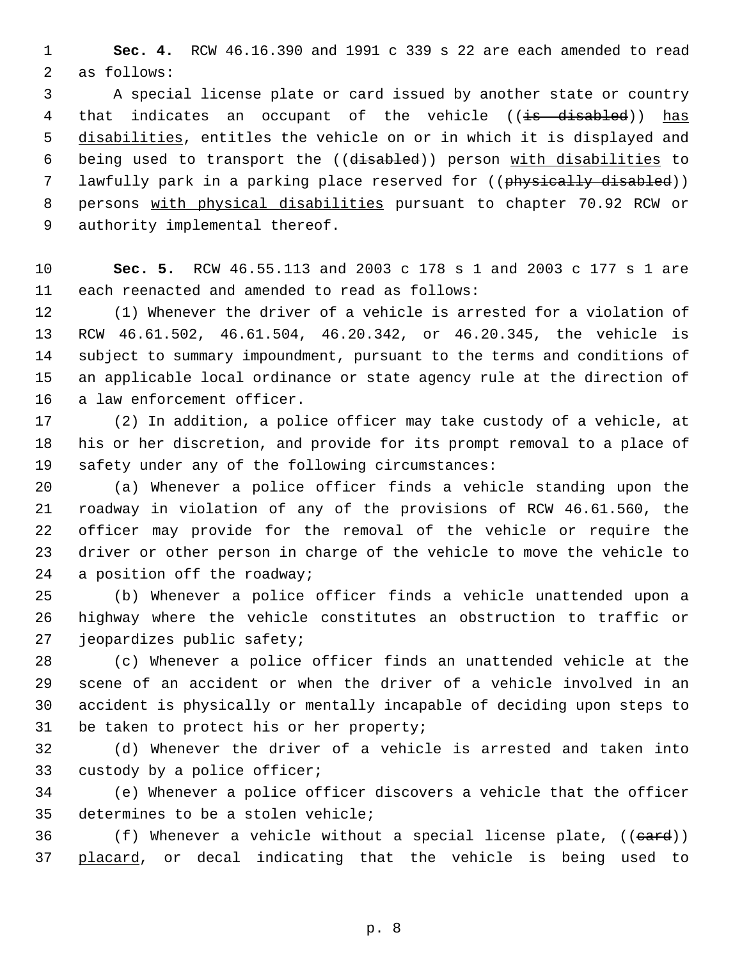**Sec. 4.** RCW 46.16.390 and 1991 c 339 s 22 are each amended to read as follows:

 A special license plate or card issued by another state or country 4 that indicates an occupant of the vehicle ((is disabled)) has 5 disabilities, entitles the vehicle on or in which it is displayed and 6 being used to transport the ((disabled)) person with disabilities to 7 lawfully park in a parking place reserved for ((physically disabled)) persons with physical disabilities pursuant to chapter 70.92 RCW or authority implemental thereof.

 **Sec. 5.** RCW 46.55.113 and 2003 c 178 s 1 and 2003 c 177 s 1 are each reenacted and amended to read as follows:

 (1) Whenever the driver of a vehicle is arrested for a violation of RCW 46.61.502, 46.61.504, 46.20.342, or 46.20.345, the vehicle is subject to summary impoundment, pursuant to the terms and conditions of an applicable local ordinance or state agency rule at the direction of a law enforcement officer.

 (2) In addition, a police officer may take custody of a vehicle, at his or her discretion, and provide for its prompt removal to a place of safety under any of the following circumstances:

 (a) Whenever a police officer finds a vehicle standing upon the roadway in violation of any of the provisions of RCW 46.61.560, the officer may provide for the removal of the vehicle or require the driver or other person in charge of the vehicle to move the vehicle to a position off the roadway;

 (b) Whenever a police officer finds a vehicle unattended upon a highway where the vehicle constitutes an obstruction to traffic or jeopardizes public safety;

 (c) Whenever a police officer finds an unattended vehicle at the scene of an accident or when the driver of a vehicle involved in an accident is physically or mentally incapable of deciding upon steps to be taken to protect his or her property;

 (d) Whenever the driver of a vehicle is arrested and taken into custody by a police officer;

 (e) Whenever a police officer discovers a vehicle that the officer determines to be a stolen vehicle;

36  $(f)$  Whenever a vehicle without a special license plate,  $((e \text{ard}))$ placard, or decal indicating that the vehicle is being used to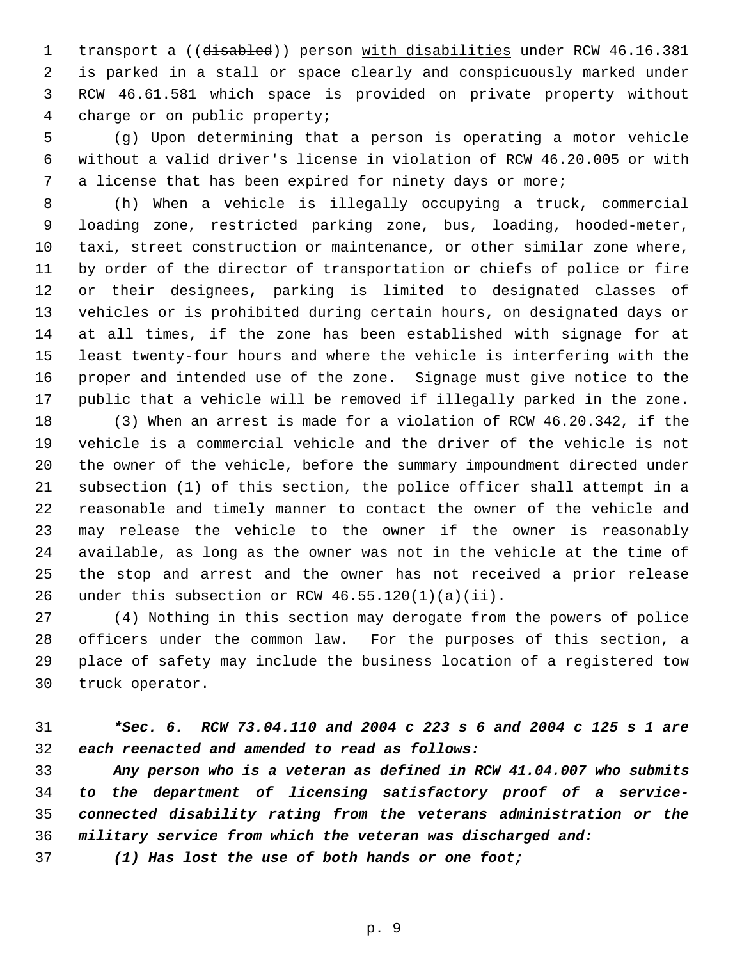1 transport a ((disabled)) person with disabilities under RCW 46.16.381 is parked in a stall or space clearly and conspicuously marked under RCW 46.61.581 which space is provided on private property without charge or on public property;

 (g) Upon determining that a person is operating a motor vehicle without a valid driver's license in violation of RCW 46.20.005 or with a license that has been expired for ninety days or more;

 (h) When a vehicle is illegally occupying a truck, commercial loading zone, restricted parking zone, bus, loading, hooded-meter, taxi, street construction or maintenance, or other similar zone where, by order of the director of transportation or chiefs of police or fire or their designees, parking is limited to designated classes of vehicles or is prohibited during certain hours, on designated days or at all times, if the zone has been established with signage for at least twenty-four hours and where the vehicle is interfering with the proper and intended use of the zone. Signage must give notice to the public that a vehicle will be removed if illegally parked in the zone.

 (3) When an arrest is made for a violation of RCW 46.20.342, if the vehicle is a commercial vehicle and the driver of the vehicle is not the owner of the vehicle, before the summary impoundment directed under subsection (1) of this section, the police officer shall attempt in a reasonable and timely manner to contact the owner of the vehicle and may release the vehicle to the owner if the owner is reasonably available, as long as the owner was not in the vehicle at the time of the stop and arrest and the owner has not received a prior release 26 under this subsection or RCW  $46.55.120(1)(a)(ii)$ .

 (4) Nothing in this section may derogate from the powers of police officers under the common law. For the purposes of this section, a place of safety may include the business location of a registered tow truck operator.

 *\*Sec. 6. RCW 73.04.110 and 2004 c 223 s 6 and 2004 c 125 s 1 are each reenacted and amended to read as follows:*

 *Any person who is a veteran as defined in RCW 41.04.007 who submits to the department of licensing satisfactory proof of a service- connected disability rating from the veterans administration or the military service from which the veteran was discharged and:*

*(1) Has lost the use of both hands or one foot;*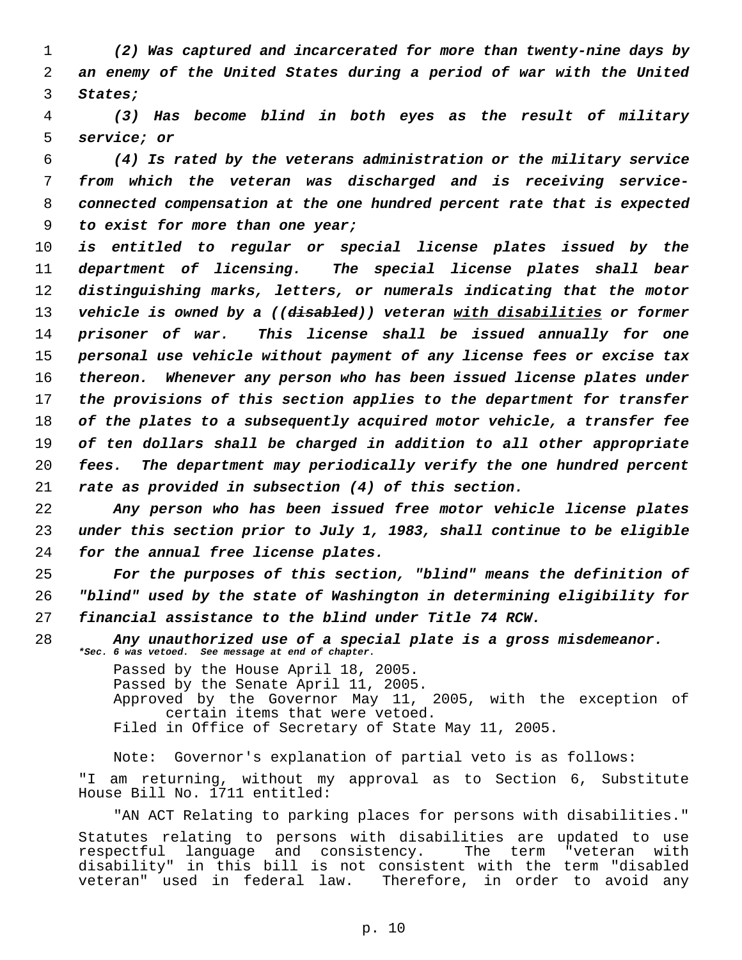*(2) Was captured and incarcerated for more than twenty-nine days by an enemy of the United States during a period of war with the United States;*

 *(3) Has become blind in both eyes as the result of military service; or*

 *(4) Is rated by the veterans administration or the military service from which the veteran was discharged and is receiving service- connected compensation at the one hundred percent rate that is expected to exist for more than one year;*

 *is entitled to regular or special license plates issued by the department of licensing. The special license plates shall bear distinguishing marks, letters, or numerals indicating that the motor vehicle is owned by a ((disabled)) veteran with disabilities or former prisoner of war. This license shall be issued annually for one personal use vehicle without payment of any license fees or excise tax thereon. Whenever any person who has been issued license plates under the provisions of this section applies to the department for transfer of the plates to a subsequently acquired motor vehicle, a transfer fee of ten dollars shall be charged in addition to all other appropriate fees. The department may periodically verify the one hundred percent rate as provided in subsection (4) of this section.*

 *Any person who has been issued free motor vehicle license plates under this section prior to July 1, 1983, shall continue to be eligible for the annual free license plates.*

 *For the purposes of this section, "blind" means the definition of "blind" used by the state of Washington in determining eligibility for financial assistance to the blind under Title 74 RCW.*

 *Any unauthorized use of a special plate is a gross misdemeanor. \*Sec. 6 was vetoed. See message at end of chapter.*

> Passed by the House April 18, 2005. Passed by the Senate April 11, 2005. Approved by the Governor May 11, 2005, with the exception of certain items that were vetoed. Filed in Office of Secretary of State May 11, 2005.

Note: Governor's explanation of partial veto is as follows: "I am returning, without my approval as to Section 6, Substitute House Bill No. 1711 entitled:

"AN ACT Relating to parking places for persons with disabilities." Statutes relating to persons with disabilities are updated to use<br>respectful language and consistency. The term "veteran with respectful language and consistency. disability" in this bill is not consistent with the term "disabled<br>veteran" used in federal law. Therefore, in order to avoid any Therefore, in order to avoid any